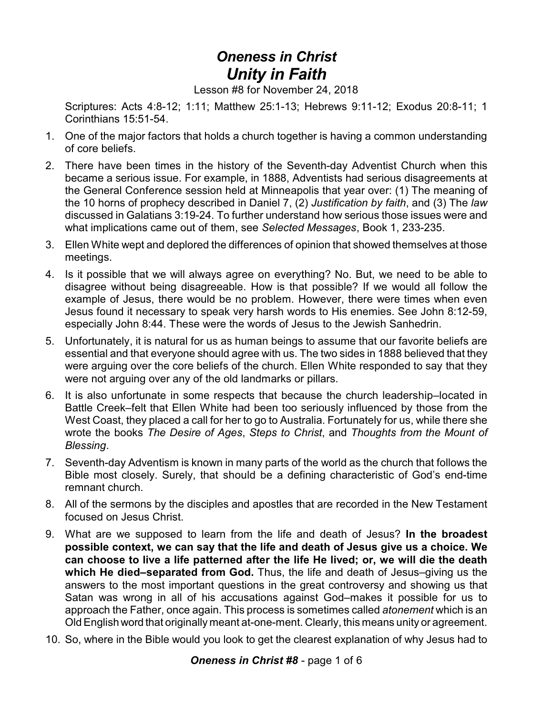## *Oneness in Christ Unity in Faith*

Lesson #8 for November 24, 2018

Scriptures: Acts 4:8-12; 1:11; Matthew 25:1-13; Hebrews 9:11-12; Exodus 20:8-11; 1 Corinthians 15:51-54.

- 1. One of the major factors that holds a church together is having a common understanding of core beliefs.
- 2. There have been times in the history of the Seventh-day Adventist Church when this became a serious issue. For example, in 1888, Adventists had serious disagreements at the General Conference session held at Minneapolis that year over: (1) The meaning of the 10 horns of prophecy described in Daniel 7, (2) *Justification by faith*, and (3) The *law* discussed in Galatians 3:19-24. To further understand how serious those issues were and what implications came out of them, see *Selected Messages*, Book 1, 233-235.
- 3. Ellen White wept and deplored the differences of opinion that showed themselves at those meetings.
- 4. Is it possible that we will always agree on everything? No. But, we need to be able to disagree without being disagreeable. How is that possible? If we would all follow the example of Jesus, there would be no problem. However, there were times when even Jesus found it necessary to speak very harsh words to His enemies. See John 8:12-59, especially John 8:44. These were the words of Jesus to the Jewish Sanhedrin.
- 5. Unfortunately, it is natural for us as human beings to assume that our favorite beliefs are essential and that everyone should agree with us. The two sides in 1888 believed that they were arguing over the core beliefs of the church. Ellen White responded to say that they were not arguing over any of the old landmarks or pillars.
- 6. It is also unfortunate in some respects that because the church leadership–located in Battle Creek–felt that Ellen White had been too seriously influenced by those from the West Coast, they placed a call for her to go to Australia. Fortunately for us, while there she wrote the books *The Desire of Ages*, *Steps to Christ*, and *Thoughts from the Mount of Blessing*.
- 7. Seventh-day Adventism is known in many parts of the world as the church that follows the Bible most closely. Surely, that should be a defining characteristic of God's end-time remnant church.
- 8. All of the sermons by the disciples and apostles that are recorded in the New Testament focused on Jesus Christ.
- 9. What are we supposed to learn from the life and death of Jesus? **In the broadest possible context, we can say that the life and death of Jesus give us a choice. We can choose to live a life patterned after the life He lived; or, we will die the death which He died–separated from God.** Thus, the life and death of Jesus–giving us the answers to the most important questions in the great controversy and showing us that Satan was wrong in all of his accusations against God–makes it possible for us to approach the Father, once again. This process is sometimes called *atonement* which is an Old English word that originally meant at-one-ment. Clearly, this means unity or agreement.
- 10. So, where in the Bible would you look to get the clearest explanation of why Jesus had to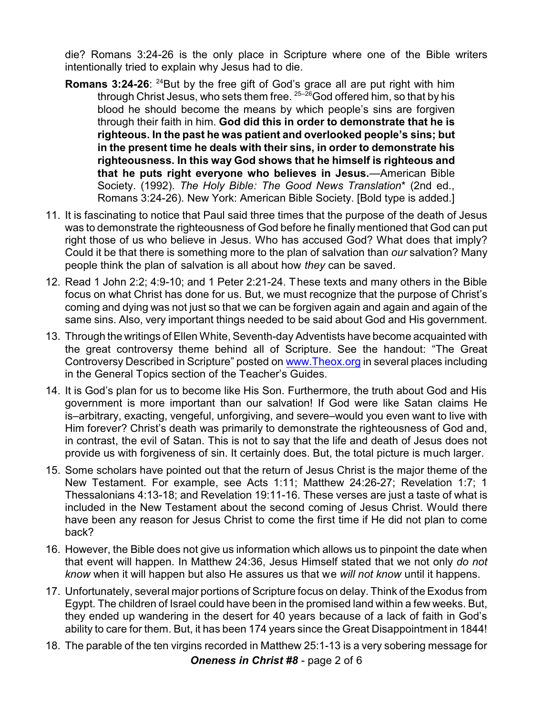die? Romans 3:24-26 is the only place in Scripture where one of the Bible writers intentionally tried to explain why Jesus had to die.

- **Romans 3:24-26:** <sup>24</sup>But by the free gift of God's grace all are put right with him through Christ Jesus, who sets them free.  $25-26$  God offered him, so that by his blood he should become the means by which people's sins are forgiven through their faith in him. **God did this in order to demonstrate that he is righteous. In the past he was patient and overlooked people's sins; but in the present time he deals with their sins, in order to demonstrate his righteousness. In this way God shows that he himself is righteous and that he puts right everyone who believes in Jesus.**—American Bible Society. (1992). *The Holy Bible: The Good News Translation*\* (2nd ed., Romans 3:24-26). New York: American Bible Society. [Bold type is added.]
- 11. It is fascinating to notice that Paul said three times that the purpose of the death of Jesus was to demonstrate the righteousness of God before he finally mentioned that God can put right those of us who believe in Jesus. Who has accused God? What does that imply? Could it be that there is something more to the plan of salvation than *our* salvation? Many people think the plan of salvation is all about how *they* can be saved.
- 12. Read 1 John 2:2; 4:9-10; and 1 Peter 2:21-24. These texts and many others in the Bible focus on what Christ has done for us. But, we must recognize that the purpose of Christ's coming and dying was not just so that we can be forgiven again and again and again of the same sins. Also, very important things needed to be said about God and His government.
- 13. Through the writings of Ellen White, Seventh-day Adventists have become acquainted with the great controversy theme behind all of Scripture. See the handout: "The Great Controversy Described in Scripture" posted on [www.Theox.org](http://www.Theox.org) in several places including in the General Topics section of the Teacher's Guides.
- 14. It is God's plan for us to become like His Son. Furthermore, the truth about God and His government is more important than our salvation! If God were like Satan claims He is–arbitrary, exacting, vengeful, unforgiving, and severe–would you even want to live with Him forever? Christ's death was primarily to demonstrate the righteousness of God and, in contrast, the evil of Satan. This is not to say that the life and death of Jesus does not provide us with forgiveness of sin. It certainly does. But, the total picture is much larger.
- 15. Some scholars have pointed out that the return of Jesus Christ is the major theme of the New Testament. For example, see Acts 1:11; Matthew 24:26-27; Revelation 1:7; 1 Thessalonians 4:13-18; and Revelation 19:11-16. These verses are just a taste of what is included in the New Testament about the second coming of Jesus Christ. Would there have been any reason for Jesus Christ to come the first time if He did not plan to come back?
- 16. However, the Bible does not give us information which allows us to pinpoint the date when that event will happen. In Matthew 24:36, Jesus Himself stated that we not only *do not know* when it will happen but also He assures us that we *will not know* until it happens.
- 17. Unfortunately, several major portions of Scripture focus on delay. Think of the Exodus from Egypt. The children of Israel could have been in the promised land within a few weeks. But, they ended up wandering in the desert for 40 years because of a lack of faith in God's ability to care for them. But, it has been 174 years since the Great Disappointment in 1844!
- 18. The parable of the ten virgins recorded in Matthew 25:1-13 is a very sobering message for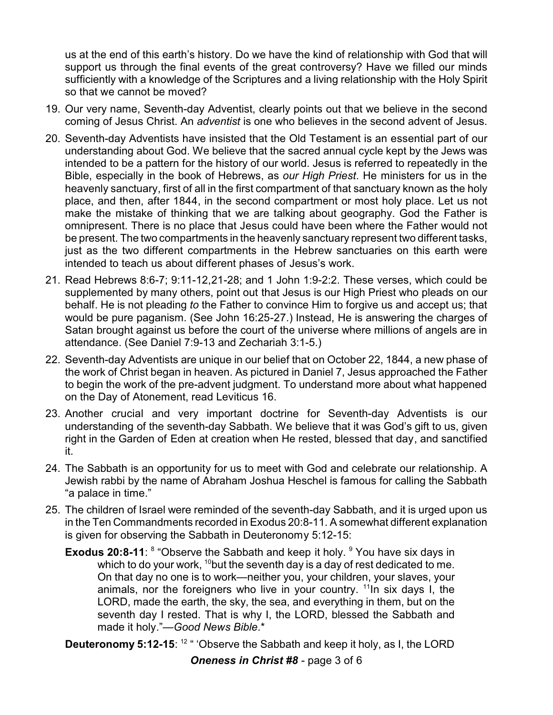us at the end of this earth's history. Do we have the kind of relationship with God that will support us through the final events of the great controversy? Have we filled our minds sufficiently with a knowledge of the Scriptures and a living relationship with the Holy Spirit so that we cannot be moved?

- 19. Our very name, Seventh-day Adventist, clearly points out that we believe in the second coming of Jesus Christ. An *adventist* is one who believes in the second advent of Jesus.
- 20. Seventh-day Adventists have insisted that the Old Testament is an essential part of our understanding about God. We believe that the sacred annual cycle kept by the Jews was intended to be a pattern for the history of our world. Jesus is referred to repeatedly in the Bible, especially in the book of Hebrews, as *our High Priest*. He ministers for us in the heavenly sanctuary, first of all in the first compartment of that sanctuary known as the holy place, and then, after 1844, in the second compartment or most holy place. Let us not make the mistake of thinking that we are talking about geography. God the Father is omnipresent. There is no place that Jesus could have been where the Father would not be present. The two compartments in the heavenly sanctuary represent two different tasks, just as the two different compartments in the Hebrew sanctuaries on this earth were intended to teach us about different phases of Jesus's work.
- 21. Read Hebrews 8:6-7; 9:11-12,21-28; and 1 John 1:9-2:2. These verses, which could be supplemented by many others, point out that Jesus is our High Priest who pleads on our behalf. He is not pleading *to* the Father to convince Him to forgive us and accept us; that would be pure paganism. (See John 16:25-27.) Instead, He is answering the charges of Satan brought against us before the court of the universe where millions of angels are in attendance. (See Daniel 7:9-13 and Zechariah 3:1-5.)
- 22. Seventh-day Adventists are unique in our belief that on October 22, 1844, a new phase of the work of Christ began in heaven. As pictured in Daniel 7, Jesus approached the Father to begin the work of the pre-advent judgment. To understand more about what happened on the Day of Atonement, read Leviticus 16.
- 23. Another crucial and very important doctrine for Seventh-day Adventists is our understanding of the seventh-day Sabbath. We believe that it was God's gift to us, given right in the Garden of Eden at creation when He rested, blessed that day, and sanctified it.
- 24. The Sabbath is an opportunity for us to meet with God and celebrate our relationship. A Jewish rabbi by the name of Abraham Joshua Heschel is famous for calling the Sabbath "a palace in time."
- 25. The children of Israel were reminded of the seventh-day Sabbath, and it is urged upon us in the Ten Commandments recorded in Exodus 20:8-11. A somewhat different explanation is given for observing the Sabbath in Deuteronomy 5:12-15:
	- **Exodus 20:8-11**: <sup>8</sup> "Observe the Sabbath and keep it holy. <sup>9</sup> You have six days in which to do your work,  $^{\text{10}}$ but the seventh day is a day of rest dedicated to me. On that day no one is to work—neither you, your children, your slaves, your animals, nor the foreigners who live in your country. <sup>11</sup>In six days I, the LORD, made the earth, the sky, the sea, and everything in them, but on the seventh day I rested. That is why I, the LORD, blessed the Sabbath and made it holy."—*Good News Bible*.\*

**Deuteronomy 5:12-15**: <sup>12</sup> " 'Observe the Sabbath and keep it holy, as I, the LORD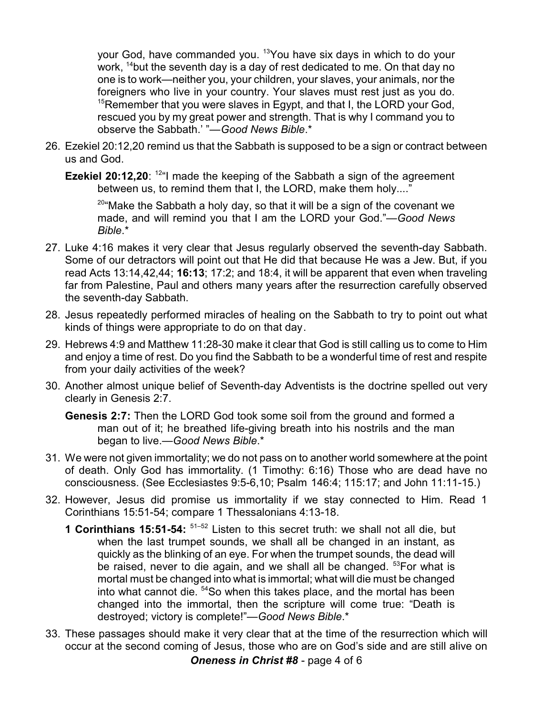your God, have commanded you. <sup>13</sup>You have six days in which to do your work, <sup>14</sup>but the seventh day is a day of rest dedicated to me. On that day no one is to work—neither you, your children, your slaves, your animals, nor the foreigners who live in your country. Your slaves must rest just as you do.  $15$ Remember that you were slaves in Egypt, and that I, the LORD your God, rescued you by my great power and strength. That is why I command you to observe the Sabbath.' "—*Good News Bible*.\*

- 26. Ezekiel 20:12,20 remind us that the Sabbath is supposed to be a sign or contract between us and God.
	- **Ezekiel 20:12,20**: <sup>12</sup>"I made the keeping of the Sabbath a sign of the agreement between us, to remind them that I, the LORD, make them holy...."

<sup>20</sup>"Make the Sabbath a holy day, so that it will be a sign of the covenant we made, and will remind you that I am the LORD your God."—*Good News Bible*.\*

- 27. Luke 4:16 makes it very clear that Jesus regularly observed the seventh-day Sabbath. Some of our detractors will point out that He did that because He was a Jew. But, if you read Acts 13:14,42,44; **16:13**; 17:2; and 18:4, it will be apparent that even when traveling far from Palestine, Paul and others many years after the resurrection carefully observed the seventh-day Sabbath.
- 28. Jesus repeatedly performed miracles of healing on the Sabbath to try to point out what kinds of things were appropriate to do on that day.
- 29. Hebrews 4:9 and Matthew 11:28-30 make it clear that God is still calling us to come to Him and enjoy a time of rest. Do you find the Sabbath to be a wonderful time of rest and respite from your daily activities of the week?
- 30. Another almost unique belief of Seventh-day Adventists is the doctrine spelled out very clearly in Genesis 2:7.

**Genesis 2:7:** Then the LORD God took some soil from the ground and formed a man out of it; he breathed life-giving breath into his nostrils and the man began to live.—*Good News Bible*.\*

- 31. We were not given immortality; we do not pass on to another world somewhere at the point of death. Only God has immortality. (1 Timothy: 6:16) Those who are dead have no consciousness. (See Ecclesiastes 9:5-6,10; Psalm 146:4; 115:17; and John 11:11-15.)
- 32. However, Jesus did promise us immortality if we stay connected to Him. Read 1 Corinthians 15:51-54; compare 1 Thessalonians 4:13-18.
	- **1 Corinthians 15:51-54:** 51–52 Listen to this secret truth: we shall not all die, but when the last trumpet sounds, we shall all be changed in an instant, as quickly as the blinking of an eye. For when the trumpet sounds, the dead will be raised, never to die again, and we shall all be changed. <sup>53</sup>For what is mortal must be changed into what is immortal; what will die must be changed into what cannot die. <sup>54</sup>So when this takes place, and the mortal has been changed into the immortal, then the scripture will come true: "Death is destroyed; victory is complete!"—*Good News Bible*.\*
- 33. These passages should make it very clear that at the time of the resurrection which will occur at the second coming of Jesus, those who are on God's side and are still alive on

*Oneness in Christ #8* - page 4 of 6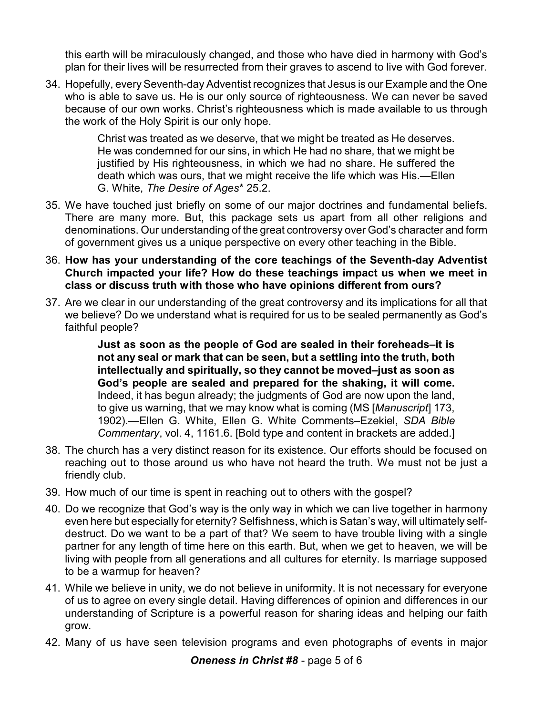this earth will be miraculously changed, and those who have died in harmony with God's plan for their lives will be resurrected from their graves to ascend to live with God forever.

34. Hopefully, every Seventh-day Adventist recognizes that Jesus is our Example and the One who is able to save us. He is our only source of righteousness. We can never be saved because of our own works. Christ's righteousness which is made available to us through the work of the Holy Spirit is our only hope.

> Christ was treated as we deserve, that we might be treated as He deserves. He was condemned for our sins, in which He had no share, that we might be justified by His righteousness, in which we had no share. He suffered the death which was ours, that we might receive the life which was His.—Ellen G. White, *The Desire of Ages*\* 25.2.

- 35. We have touched just briefly on some of our major doctrines and fundamental beliefs. There are many more. But, this package sets us apart from all other religions and denominations. Our understanding of the great controversy over God's character and form of government gives us a unique perspective on every other teaching in the Bible.
- 36. **How has your understanding of the core teachings of the Seventh-day Adventist Church impacted your life? How do these teachings impact us when we meet in class or discuss truth with those who have opinions different from ours?**
- 37. Are we clear in our understanding of the great controversy and its implications for all that we believe? Do we understand what is required for us to be sealed permanently as God's faithful people?

**Just as soon as the people of God are sealed in their foreheads–it is not any seal or mark that can be seen, but a settling into the truth, both intellectually and spiritually, so they cannot be moved–just as soon as God's people are sealed and prepared for the shaking, it will come.** Indeed, it has begun already; the judgments of God are now upon the land, to give us warning, that we may know what is coming (MS [*Manuscript*] 173, 1902).—Ellen G. White, Ellen G. White Comments–Ezekiel, *SDA Bible Commentary*, vol. 4, 1161.6. [Bold type and content in brackets are added.]

- 38. The church has a very distinct reason for its existence. Our efforts should be focused on reaching out to those around us who have not heard the truth. We must not be just a friendly club.
- 39. How much of our time is spent in reaching out to others with the gospel?
- 40. Do we recognize that God's way is the only way in which we can live together in harmony even here but especially for eternity? Selfishness, which is Satan's way, will ultimately selfdestruct. Do we want to be a part of that? We seem to have trouble living with a single partner for any length of time here on this earth. But, when we get to heaven, we will be living with people from all generations and all cultures for eternity. Is marriage supposed to be a warmup for heaven?
- 41. While we believe in unity, we do not believe in uniformity. It is not necessary for everyone of us to agree on every single detail. Having differences of opinion and differences in our understanding of Scripture is a powerful reason for sharing ideas and helping our faith grow.
- 42. Many of us have seen television programs and even photographs of events in major